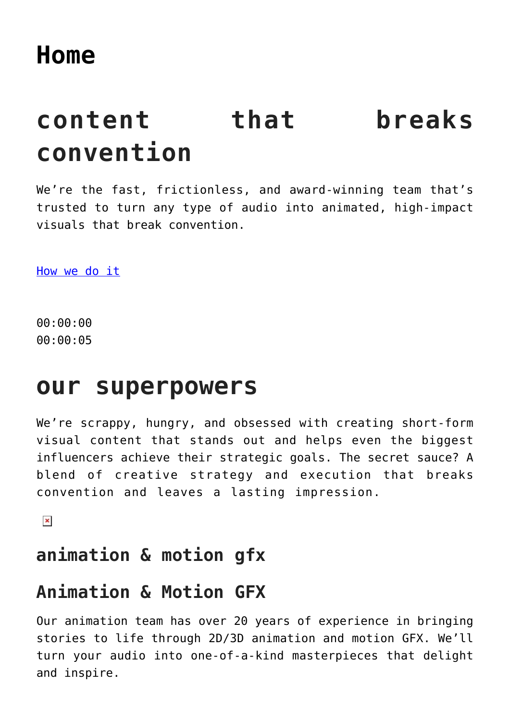# **content that breaks convention**

We're the fast, frictionless, and award-winning team that's trusted to turn any type of audio into animated, high-impact visuals that break convention.

[How we do it](#page--1-0)

00:00:00 00:00:05

### **our superpowers**

We're scrappy, hungry, and obsessed with creating short-form visual content that stands out and helps even the biggest influencers achieve their strategic goals. The secret sauce? A blend of creative strategy and execution that breaks convention and leaves a lasting impression.

 $\pmb{\times}$ 

### **animation & motion gfx**

### **Animation & Motion GFX**

Our animation team has over 20 years of experience in bringing stories to life through 2D/3D animation and motion GFX. We'll turn your audio into one-of-a-kind masterpieces that delight and inspire.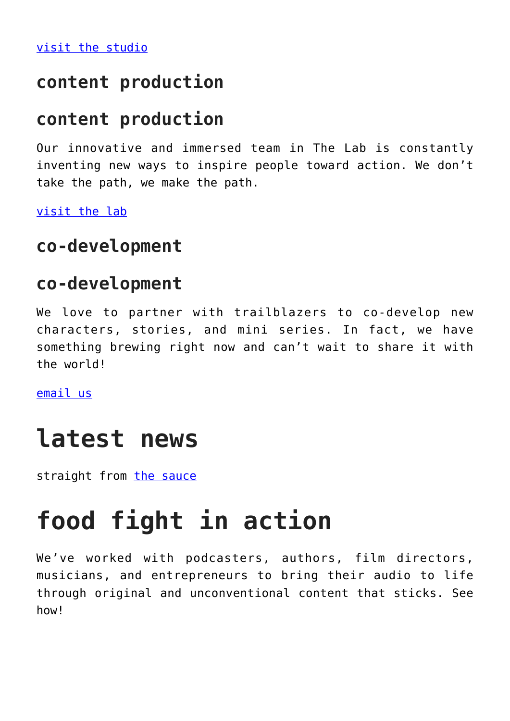[visit the studio](https://foodfightstudios.com/the-studio-animation-services/)

#### **content production**

#### **content production**

Our innovative and immersed team in The Lab is constantly inventing new ways to inspire people toward action. We don't take the path, we make the path.

[visit the lab](https://foodfightstudios.com/the-lab/)

#### **co-development**

#### **co-development**

We love to partner with trailblazers to co-develop new characters, stories, and mini series. In fact, we have something brewing right now and can't wait to share it with the world!

[email us](mailto:info@foodfightstudios.com)

### **latest news**

straight from [the sauce](https://foodfightstudios.com/the-sauce/)

## **food fight in action**

We've worked with podcasters, authors, film directors, musicians, and entrepreneurs to bring their audio to life through original and unconventional content that sticks. See how<sup>1</sup>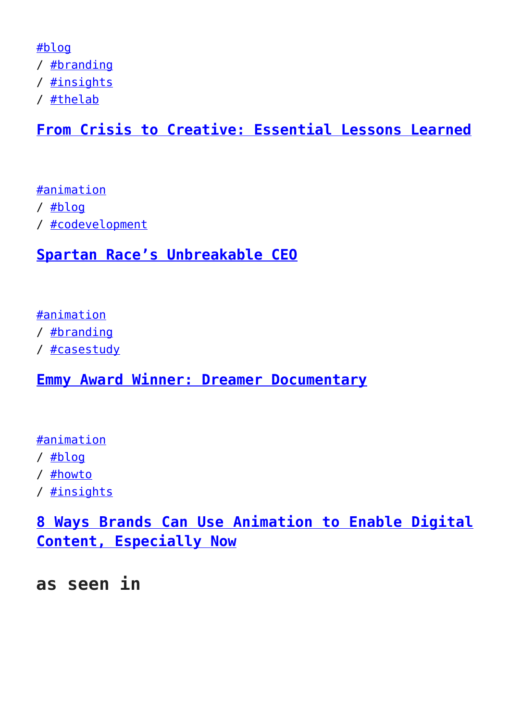[#blog](https://foodfightstudios.com/category/blog/) / [#branding](https://foodfightstudios.com/category/branding/) / [#insights](https://foodfightstudios.com/category/insights/) / [#thelab](https://foodfightstudios.com/category/blog/thelab/)

#### **[From Crisis to Creative: Essential Lessons Learned](https://foodfightstudios.com/from-crisis-to-creative-everything-we-learned-in-unpredictable-times/)**

[#animation](https://foodfightstudios.com/category/animation/) / [#blog](https://foodfightstudios.com/category/blog/) / [#codevelopment](https://foodfightstudios.com/category/co-development/)

#### **[Spartan Race's Unbreakable CEO](https://foodfightstudios.com/spartan-race-unbreakable-ceo/)**

[#animation](https://foodfightstudios.com/category/animation/)

/ [#branding](https://foodfightstudios.com/category/branding/)

/ [#casestudy](https://foodfightstudios.com/category/case-study/)

**[Emmy Award Winner: Dreamer Documentary](https://foodfightstudios.com/brand-work-dreamer-documentary/)**

[#animation](https://foodfightstudios.com/category/animation/)

/ [#blog](https://foodfightstudios.com/category/blog/)

/ [#howto](https://foodfightstudios.com/category/how-to/)

/ [#insights](https://foodfightstudios.com/category/insights/)

**[8 Ways Brands Can Use Animation to Enable Digital](https://foodfightstudios.com/8-ways-brand-can-use-animation-for-digital-content/) [Content, Especially Now](https://foodfightstudios.com/8-ways-brand-can-use-animation-for-digital-content/)**

**as seen in**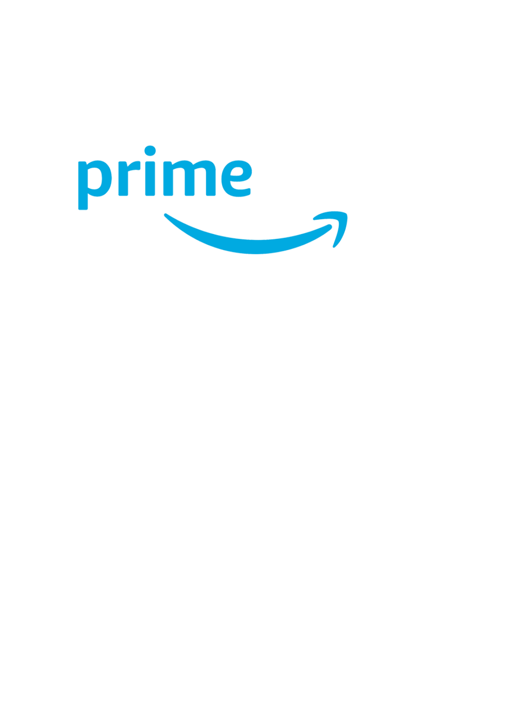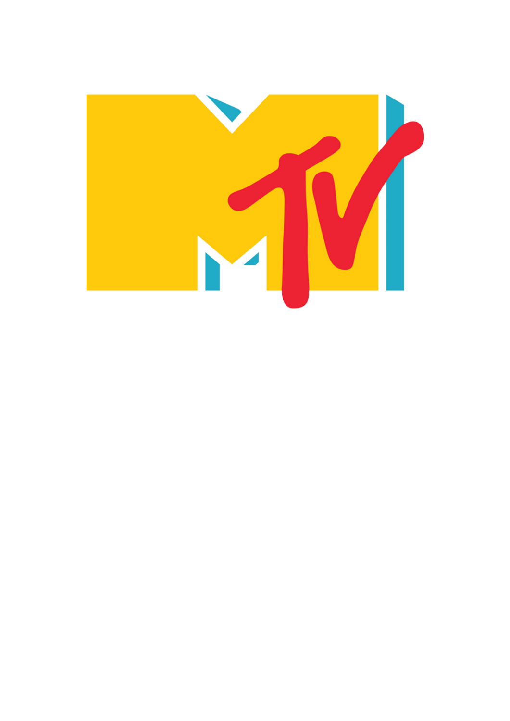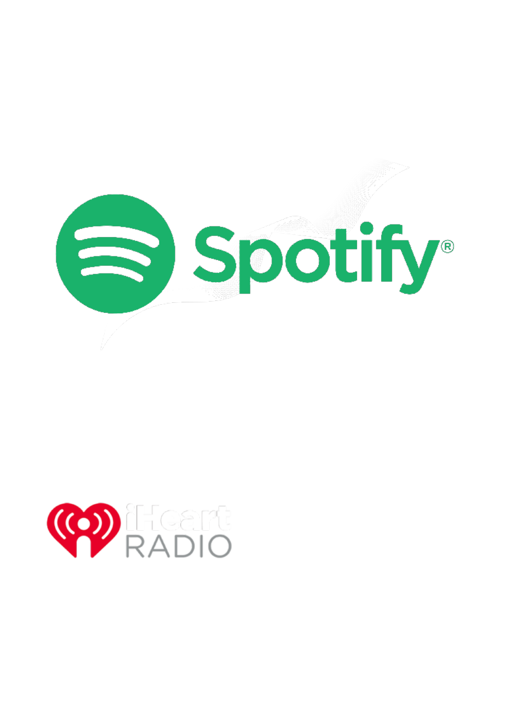

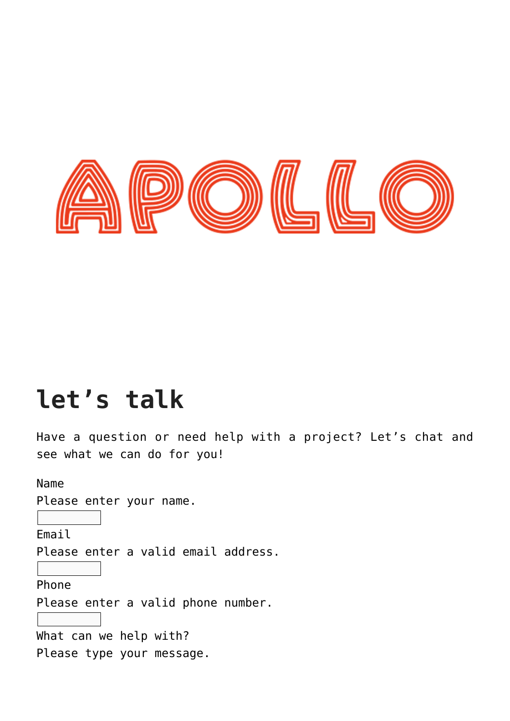

## **let's talk**

Have a question or need help with a project? Let's chat and see what we can do for you!

Name

Please enter your name.

Email

Please enter a valid email address.

Phone

Please enter a valid phone number.

What can we help with? Please type your message.